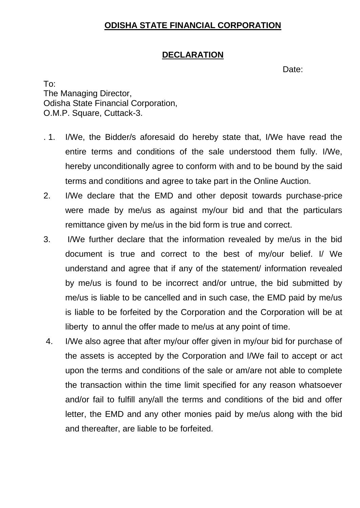## **ODISHA STATE FINANCIAL CORPORATION**

## **DECLARATION**

Date:

To: The Managing Director, Odisha State Financial Corporation, O.M.P. Square, Cuttack-3.

- . 1. I/We, the Bidder/s aforesaid do hereby state that, I/We have read the entire terms and conditions of the sale understood them fully. I/We, hereby unconditionally agree to conform with and to be bound by the said terms and conditions and agree to take part in the Online Auction.
- 2. I/We declare that the EMD and other deposit towards purchase-price were made by me/us as against my/our bid and that the particulars remittance given by me/us in the bid form is true and correct.
- 3. I/We further declare that the information revealed by me/us in the bid document is true and correct to the best of my/our belief. I/ We understand and agree that if any of the statement/ information revealed by me/us is found to be incorrect and/or untrue, the bid submitted by me/us is liable to be cancelled and in such case, the EMD paid by me/us is liable to be forfeited by the Corporation and the Corporation will be at liberty to annul the offer made to me/us at any point of time.
- 4. I/We also agree that after my/our offer given in my/our bid for purchase of the assets is accepted by the Corporation and I/We fail to accept or act upon the terms and conditions of the sale or am/are not able to complete the transaction within the time limit specified for any reason whatsoever and/or fail to fulfill any/all the terms and conditions of the bid and offer letter, the EMD and any other monies paid by me/us along with the bid and thereafter, are liable to be forfeited.